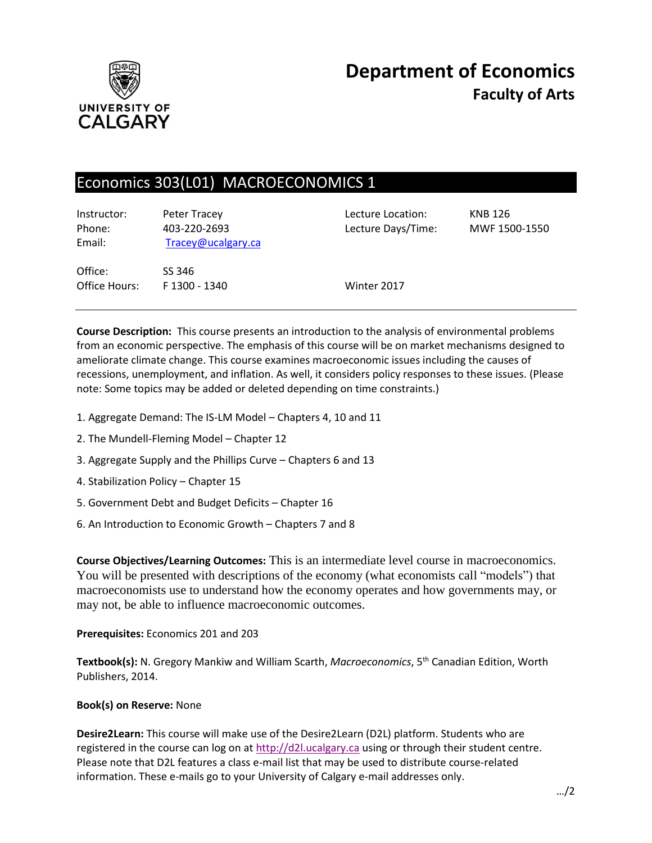

# Economics 303(L01) MACROECONOMICS 1

| Instructor:<br>Phone:<br>Email: | Peter Tracey<br>403-220-2693<br>Tracey@ucalgary.ca | Lecture Location:<br>Lecture Days/Time: | <b>KNB 126</b><br>MWF 1500-1550 |
|---------------------------------|----------------------------------------------------|-----------------------------------------|---------------------------------|
| Office:<br>Office Hours:        | SS 346<br>F 1300 - 1340                            | Winter 2017                             |                                 |

**Course Description:** This course presents an introduction to the analysis of environmental problems from an economic perspective. The emphasis of this course will be on market mechanisms designed to ameliorate climate change. This course examines macroeconomic issues including the causes of recessions, unemployment, and inflation. As well, it considers policy responses to these issues. (Please note: Some topics may be added or deleted depending on time constraints.)

- 1. Aggregate Demand: The IS-LM Model Chapters 4, 10 and 11
- 2. The Mundell-Fleming Model Chapter 12
- 3. Aggregate Supply and the Phillips Curve Chapters 6 and 13
- 4. Stabilization Policy Chapter 15
- 5. Government Debt and Budget Deficits Chapter 16
- 6. An Introduction to Economic Growth Chapters 7 and 8

**Course Objectives/Learning Outcomes:** This is an intermediate level course in macroeconomics. You will be presented with descriptions of the economy (what economists call "models") that macroeconomists use to understand how the economy operates and how governments may, or may not, be able to influence macroeconomic outcomes.

**Prerequisites:** Economics 201 and 203

**Textbook(s):** N. Gregory Mankiw and William Scarth, *Macroeconomics*, 5 th Canadian Edition, Worth Publishers, 2014.

### **Book(s) on Reserve:** None

**Desire2Learn:** This course will make use of the Desire2Learn (D2L) platform. Students who are registered in the course can log on at [http://d2l.ucalgary.ca](http://d2l.ucalgary.ca/) using or through their student centre. Please note that D2L features a class e-mail list that may be used to distribute course-related information. These e-mails go to your University of Calgary e-mail addresses only.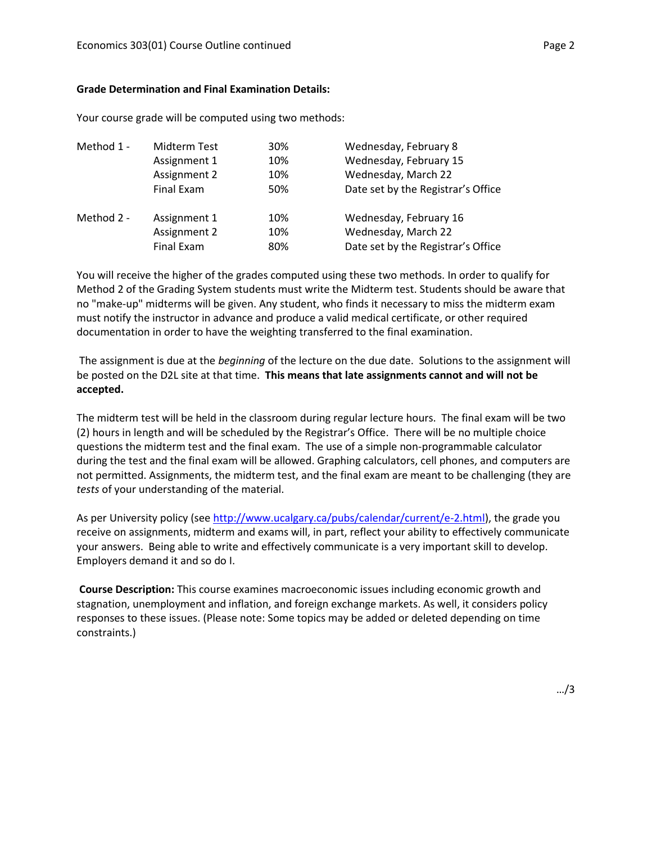#### **Grade Determination and Final Examination Details:**

Your course grade will be computed using two methods:

| Method 1 - | Midterm Test | 30% | Wednesday, February 8              |
|------------|--------------|-----|------------------------------------|
|            | Assignment 1 | 10% | Wednesday, February 15             |
|            | Assignment 2 | 10% | Wednesday, March 22                |
|            | Final Exam   | 50% | Date set by the Registrar's Office |
| Method 2 - | Assignment 1 | 10% | Wednesday, February 16             |
|            | Assignment 2 | 10% | Wednesday, March 22                |
|            | Final Exam   | 80% | Date set by the Registrar's Office |

You will receive the higher of the grades computed using these two methods. In order to qualify for Method 2 of the Grading System students must write the Midterm test. Students should be aware that no "make-up" midterms will be given. Any student, who finds it necessary to miss the midterm exam must notify the instructor in advance and produce a valid medical certificate, or other required documentation in order to have the weighting transferred to the final examination.

The assignment is due at the *beginning* of the lecture on the due date. Solutions to the assignment will be posted on the D2L site at that time. **This means that late assignments cannot and will not be accepted.**

The midterm test will be held in the classroom during regular lecture hours. The final exam will be two (2) hours in length and will be scheduled by the Registrar's Office. There will be no multiple choice questions the midterm test and the final exam. The use of a simple non-programmable calculator during the test and the final exam will be allowed. Graphing calculators, cell phones, and computers are not permitted. Assignments, the midterm test, and the final exam are meant to be challenging (they are *tests* of your understanding of the material.

As per University policy (see [http://www.ucalgary.ca/pubs/calendar/current/e-2.html\)](http://www.ucalgary.ca/pubs/calendar/current/e-2.html), the grade you receive on assignments, midterm and exams will, in part, reflect your ability to effectively communicate your answers. Being able to write and effectively communicate is a very important skill to develop. Employers demand it and so do I.

**Course Description:** This course examines macroeconomic issues including economic growth and stagnation, unemployment and inflation, and foreign exchange markets. As well, it considers policy responses to these issues. (Please note: Some topics may be added or deleted depending on time constraints.)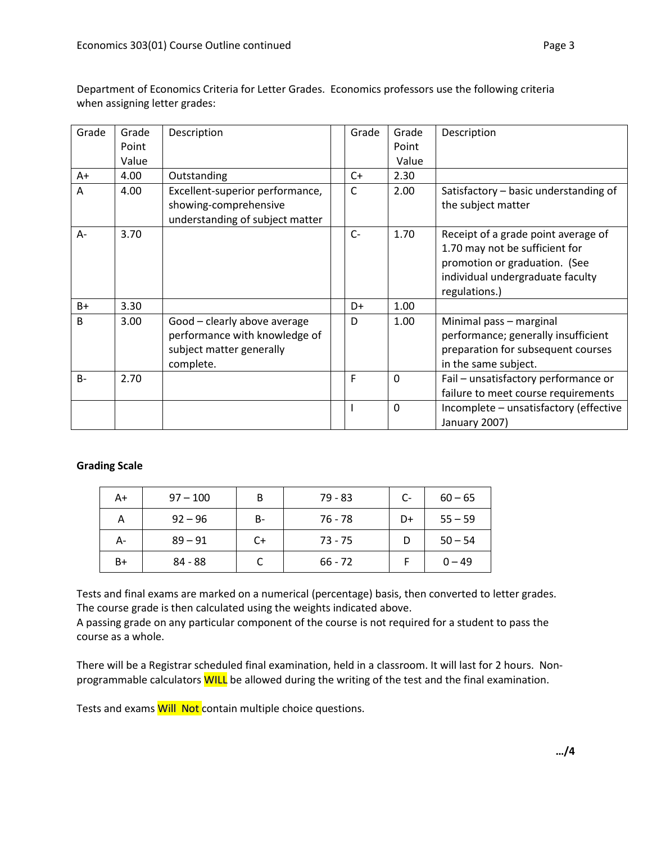| Grade        | Grade<br>Point | Description                                                                                            | Grade | Grade<br>Point | Description                                                                                                                                                 |
|--------------|----------------|--------------------------------------------------------------------------------------------------------|-------|----------------|-------------------------------------------------------------------------------------------------------------------------------------------------------------|
|              | Value          |                                                                                                        |       | Value          |                                                                                                                                                             |
| A+           | 4.00           | Outstanding                                                                                            | $C+$  | 2.30           |                                                                                                                                                             |
| A            | 4.00           | Excellent-superior performance,<br>showing-comprehensive<br>understanding of subject matter            | C     | 2.00           | Satisfactory - basic understanding of<br>the subject matter                                                                                                 |
| $A -$        | 3.70           |                                                                                                        | $C-$  | 1.70           | Receipt of a grade point average of<br>1.70 may not be sufficient for<br>promotion or graduation. (See<br>individual undergraduate faculty<br>regulations.) |
| $B+$         | 3.30           |                                                                                                        | D+    | 1.00           |                                                                                                                                                             |
| <sub>B</sub> | 3.00           | Good - clearly above average<br>performance with knowledge of<br>subject matter generally<br>complete. | D     | 1.00           | Minimal pass - marginal<br>performance; generally insufficient<br>preparation for subsequent courses<br>in the same subject.                                |
| $B -$        | 2.70           |                                                                                                        | F     | $\mathbf 0$    | Fail - unsatisfactory performance or<br>failure to meet course requirements                                                                                 |
|              |                |                                                                                                        |       | $\mathbf 0$    | Incomplete - unsatisfactory (effective<br>January 2007)                                                                                                     |

Department of Economics Criteria for Letter Grades. Economics professors use the following criteria when assigning letter grades:

# **Grading Scale**

| $A+$ | $97 - 100$ | B         | $79 - 83$ | $C-$ | $60 - 65$ |
|------|------------|-----------|-----------|------|-----------|
| А    | $92 - 96$  | <b>B-</b> | 76 - 78   | D+   | $55 - 59$ |
| А-   | $89 - 91$  | C+        | $73 - 75$ |      | $50 - 54$ |
| B+   | 84 - 88    |           | $66 - 72$ |      | $0 - 49$  |

Tests and final exams are marked on a numerical (percentage) basis, then converted to letter grades. The course grade is then calculated using the weights indicated above.

A passing grade on any particular component of the course is not required for a student to pass the course as a whole.

There will be a Registrar scheduled final examination, held in a classroom. It will last for 2 hours. Nonprogrammable calculators WILL be allowed during the writing of the test and the final examination.

Tests and exams **Will Not** contain multiple choice questions.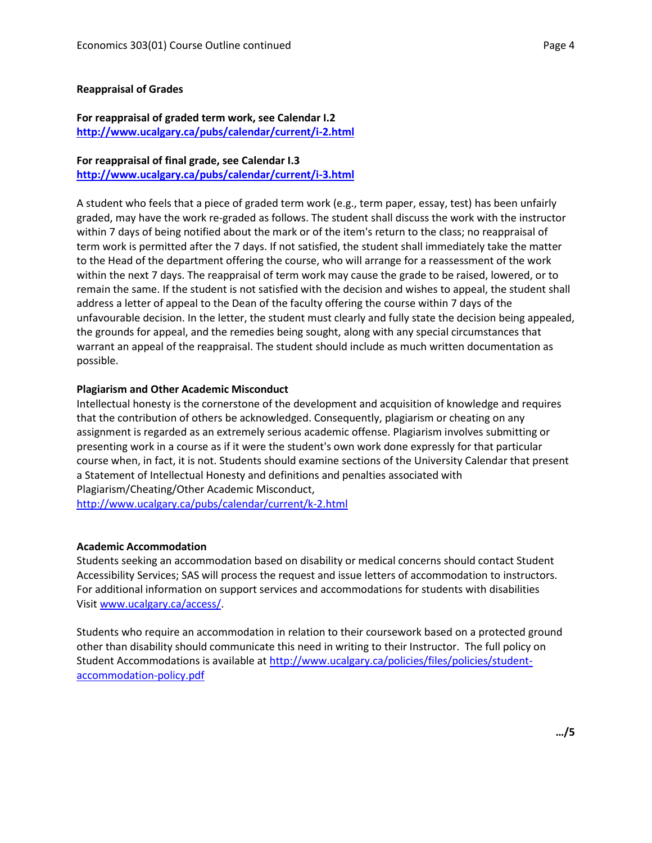#### **Reappraisal of Grades**

## **For reappraisal of graded term work, see Calendar I.2 <http://www.ucalgary.ca/pubs/calendar/current/i-2.html>**

# **For reappraisal of final grade, see Calendar I.3**

**<http://www.ucalgary.ca/pubs/calendar/current/i-3.html>**

A student who feels that a piece of graded term work (e.g., term paper, essay, test) has been unfairly graded, may have the work re-graded as follows. The student shall discuss the work with the instructor within 7 days of being notified about the mark or of the item's return to the class; no reappraisal of term work is permitted after the 7 days. If not satisfied, the student shall immediately take the matter to the Head of the department offering the course, who will arrange for a reassessment of the work within the next 7 days. The reappraisal of term work may cause the grade to be raised, lowered, or to remain the same. If the student is not satisfied with the decision and wishes to appeal, the student shall address a letter of appeal to the Dean of the faculty offering the course within 7 days of the unfavourable decision. In the letter, the student must clearly and fully state the decision being appealed, the grounds for appeal, and the remedies being sought, along with any special circumstances that warrant an appeal of the reappraisal. The student should include as much written documentation as possible.

### **Plagiarism and Other Academic Misconduct**

Intellectual honesty is the cornerstone of the development and acquisition of knowledge and requires that the contribution of others be acknowledged. Consequently, plagiarism or cheating on any assignment is regarded as an extremely serious academic offense. Plagiarism involves submitting or presenting work in a course as if it were the student's own work done expressly for that particular course when, in fact, it is not. Students should examine sections of the University Calendar that present a Statement of Intellectual Honesty and definitions and penalties associated with Plagiarism/Cheating/Other Academic Misconduct, <http://www.ucalgary.ca/pubs/calendar/current/k-2.html>

### **Academic Accommodation**

Students seeking an accommodation based on disability or medical concerns should contact Student Accessibility Services; SAS will process the request and issue letters of accommodation to instructors. For additional information on support services and accommodations for students with disabilities Visit [www.ucalgary.ca/access/.](http://www.ucalgary.ca/access/)

Students who require an accommodation in relation to their coursework based on a protected ground other than disability should communicate this need in writing to their Instructor. The full policy on Student Accommodations is available at [http://www.ucalgary.ca/policies/files/policies/student](http://www.ucalgary.ca/policies/files/policies/student-accommodation-policy.pdf)[accommodation-policy.pdf](http://www.ucalgary.ca/policies/files/policies/student-accommodation-policy.pdf)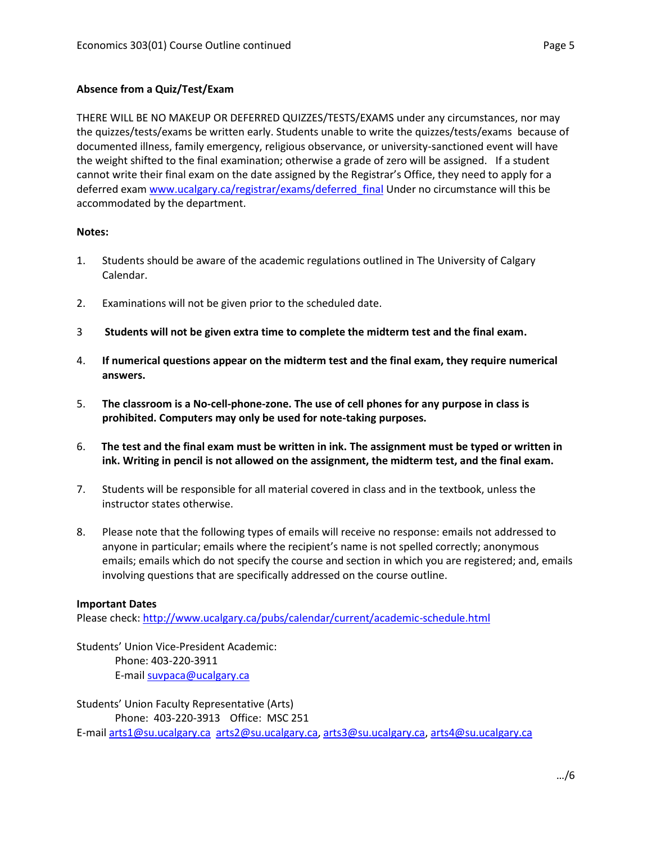# **Absence from a Quiz/Test/Exam**

THERE WILL BE NO MAKEUP OR DEFERRED QUIZZES/TESTS/EXAMS under any circumstances, nor may the quizzes/tests/exams be written early. Students unable to write the quizzes/tests/exams because of documented illness, family emergency, religious observance, or university-sanctioned event will have the weight shifted to the final examination; otherwise a grade of zero will be assigned. If a student cannot write their final exam on the date assigned by the Registrar's Office, they need to apply for a deferred exam [www.ucalgary.ca/registrar/exams/deferred\\_final](http://www.ucalgary.ca/registrar/exams/deferred_final) Under no circumstance will this be accommodated by the department.

## **Notes:**

- 1. Students should be aware of the academic regulations outlined in The University of Calgary Calendar.
- 2. Examinations will not be given prior to the scheduled date.
- 3 **Students will not be given extra time to complete the midterm test and the final exam.**
- 4. **If numerical questions appear on the midterm test and the final exam, they require numerical answers.**
- 5. **The classroom is a No-cell-phone-zone. The use of cell phones for any purpose in class is prohibited. Computers may only be used for note-taking purposes.**
- 6. **The test and the final exam must be written in ink. The assignment must be typed or written in ink. Writing in pencil is not allowed on the assignment, the midterm test, and the final exam.**
- 7. Students will be responsible for all material covered in class and in the textbook, unless the instructor states otherwise.
- 8. Please note that the following types of emails will receive no response: emails not addressed to anyone in particular; emails where the recipient's name is not spelled correctly; anonymous emails; emails which do not specify the course and section in which you are registered; and, emails involving questions that are specifically addressed on the course outline.

### **Important Dates**

Please check:<http://www.ucalgary.ca/pubs/calendar/current/academic-schedule.html>

Students' Union Vice-President Academic: Phone: 403-220-3911 E-mai[l suvpaca@ucalgary.ca](mailto:subpaca@ucalgary.ca)

Students' Union Faculty Representative (Arts) Phone: 403-220-3913 Office: MSC 251 E-mai[l arts1@su.ucalgary.ca](mailto:arts1@su.ucalgary.ca) [arts2@su.ucalgary.ca,](mailto:arts2@su.ucalgary.ca) [arts3@su.ucalgary.ca,](mailto:arts3@su.ucalgary.ca) [arts4@su.ucalgary.ca](mailto:arts4@su.ucalgary.ca)